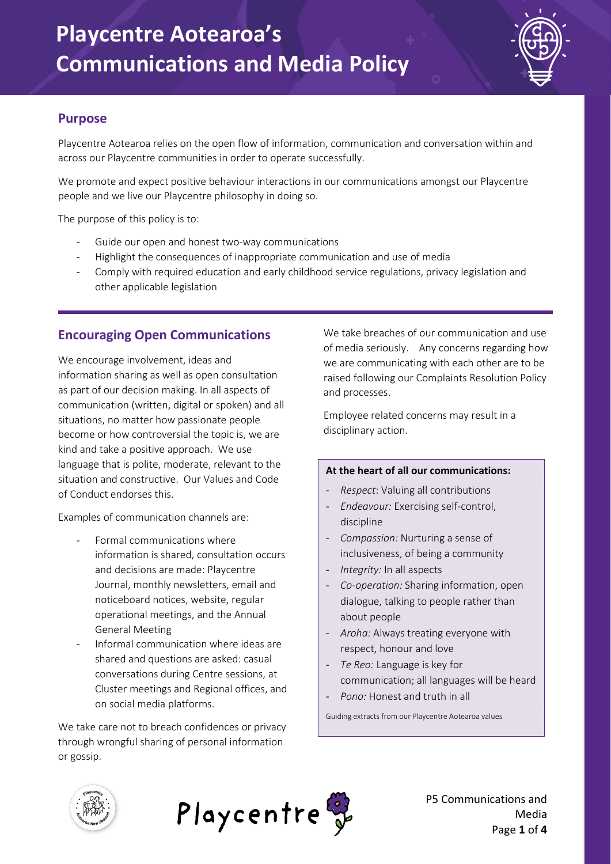

#### **Purpose**

Playcentre Aotearoa relies on the open flow of information, communication and conversation within and across our Playcentre communities in order to operate successfully.

We promote and expect positive behaviour interactions in our communications amongst our Playcentre people and we live our Playcentre philosophy in doing so.

The purpose of this policy is to:

- Guide our open and honest two-way communications
- Highlight the consequences of inappropriate communication and use of media
- Comply with required education and early childhood service regulations, privacy legislation and other applicable legislation

### **Encouraging Open Communications**

We encourage involvement, ideas and information sharing as well as open consultation as part of our decision making. In all aspects of communication (written, digital or spoken) and all situations, no matter how passionate people become or how controversial the topic is, we are kind and take a positive approach. We use language that is polite, moderate, relevant to the situation and constructive. Our Values and Code of Conduct endorses this.

Examples of communication channels are:

- Formal communications where information is shared, consultation occurs and decisions are made: Playcentre Journal, monthly newsletters, email and noticeboard notices, website, regular operational meetings, and the Annual General Meeting
- Informal communication where ideas are shared and questions are asked: casual conversations during Centre sessions, at Cluster meetings and Regional offices, and on social media platforms.

We take care not to breach confidences or privacy through wrongful sharing of personal information or gossip.

We take breaches of our communication and use of media seriously. Any concerns regarding how we are communicating with each other are to be raised following our Complaints Resolution Policy and processes.

Employee related concerns may result in a disciplinary action.

#### **At the heart of all our communications:**

- *Respect*: Valuing all contributions
- *Endeavour:* Exercising self-control, discipline
- Compassion: Nurturing a sense of inclusiveness, of being a community
- *Integrity:* In all aspects
- *Co-operation:* Sharing information, open dialogue, talking to people rather than about people
- *Aroha:* Always treating everyone with respect, honour and love
- Te Reo: Language is key for communication; all languages will be heard
- Pono: Honest and truth in all

Guiding extracts from our Playcentre Aotearoa values



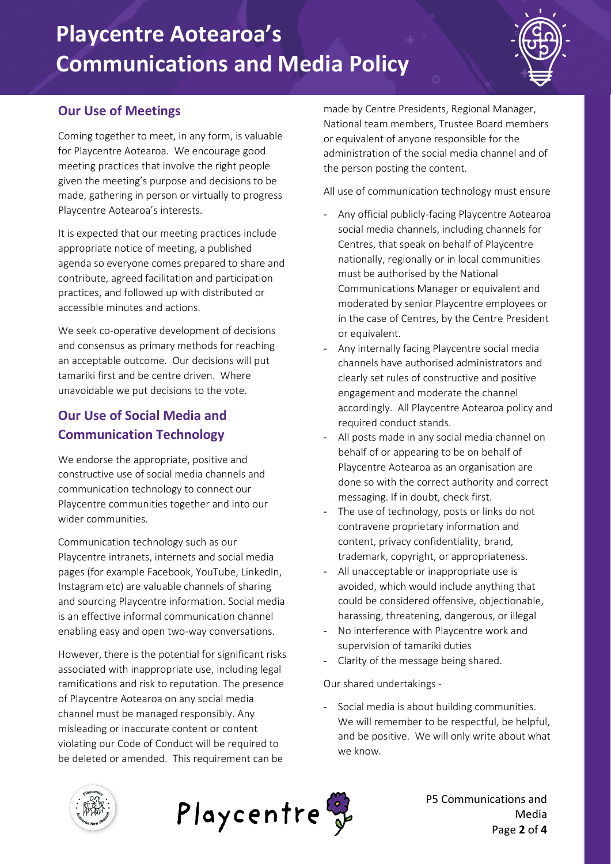## **Playcentre Aotearoa's Communications and Media Policy**

#### **Our Use of Meetings**

Coming together to meet, in any form, is valuable for Playcentre Aotearoa. We encourage good meeting practices that involve the right people given the meeting's purpose and decisions to be made, gathering in person or virtually to progress Playcentre Aotearoa's interests.

It is expected that our meeting practices include appropriate notice of meeting, a published agenda so everyone comes prepared to share and contribute, agreed facilitation and participation practices, and followed up with distributed or accessible minutes and actions.

We seek co-operative development of decisions and consensus as primary methods for reaching an acceptable outcome. Our decisions will put tamariki first and be centre driven. Where unavoidable we put decisions to the vote.

### **Our Use of Social Media and Communication Technology**

We endorse the appropriate, positive and constructive use of social media channels and communication technology to connect our Playcentre communities together and into our wider communities.

Communication technology such as our Playcentre intranets, internets and social media pages (for example Facebook, YouTube, LinkedIn, Instagram etc) are valuable channels of sharing and sourcing Playcentre information. Social media is an effective informal communication channel enabling easy and open two-way conversations.

However, there is the potential for significant risks associated with inappropriate use, including legal ramifications and risk to reputation. The presence of Playcentre Aotearoa on any social media channel must be managed responsibly. Any misleading or inaccurate content or content violating our Code of Conduct will be required to be deleted or amended. This requirement can be

made by Centre Presidents, Regional Manager, National team members, Trustee Board members or equivalent of anyone responsible for the administration of the social media channel and of the person posting the content.

All use of communication technology must ensure

- Any official publicly-facing Playcentre Aotearoa social media channels, including channels for Centres, that speak on behalf of Playcentre nationally, regionally or in local communities must be authorised by the National Communications Manager or equivalent and moderated by senior Playcentre employees or in the case of Centres, by the Centre President or equivalent.
- Any internally facing Playcentre social media channels have authorised administrators and clearly set rules of constructive and positive engagement and moderate the channel accordingly. All Playcentre Aotearoa policy and required conduct stands.
- All posts made in any social media channel on behalf of or appearing to be on behalf of Playcentre Aotearoa as an organisation are done so with the correct authority and correct messaging. If in doubt, check first.
- The use of technology, posts or links do not contravene proprietary information and content, privacy confidentiality, brand, trademark, copyright, or appropriateness.
- All unacceptable or inappropriate use is avoided, which would include anything that could be considered offensive, objectionable, harassing, threatening, dangerous, or illegal
- No interference with Playcentre work and supervision of tamariki duties
- Clarity of the message being shared.

Our shared undertakings -

- Social media is about building communities. We will remember to be respectful, be helpful, and be positive. We will only write about what we know.



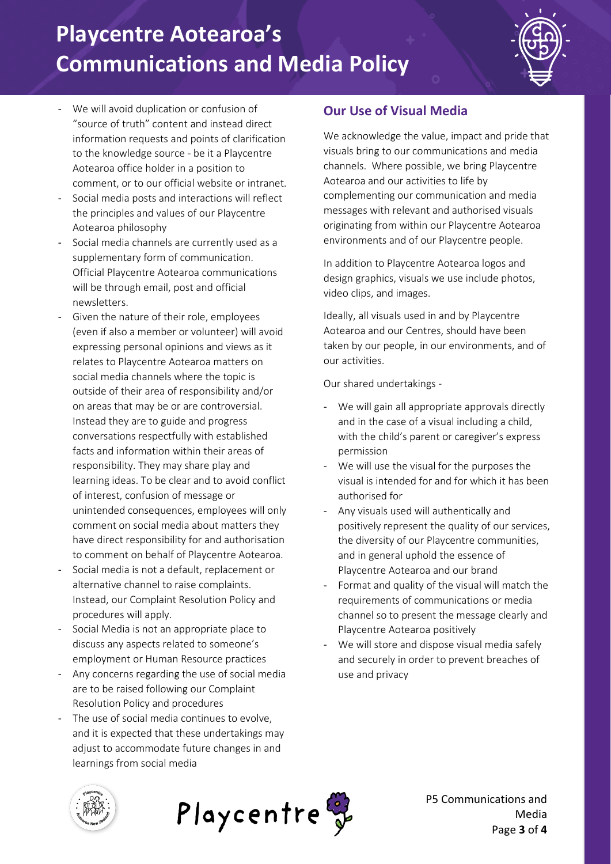# **Playcentre Aotearoa's Communications and Media Policy**



- We will avoid duplication or confusion of "source of truth" content and instead direct information requests and points of clarification to the knowledge source - be it a Playcentre Aotearoa office holder in a position to comment, or to our official website or intranet.
- Social media posts and interactions will reflect the principles and values of our Playcentre Aotearoa philosophy
- Social media channels are currently used as a supplementary form of communication. Official Playcentre Aotearoa communications will be through email, post and official newsletters.
- Given the nature of their role, employees (even if also a member or volunteer) will avoid expressing personal opinions and views as it relates to Playcentre Aotearoa matters on social media channels where the topic is outside of their area of responsibility and/or on areas that may be or are controversial. Instead they are to guide and progress conversations respectfully with established facts and information within their areas of responsibility. They may share play and learning ideas. To be clear and to avoid conflict of interest, confusion of message or unintended consequences, employees will only comment on social media about matters they have direct responsibility for and authorisation to comment on behalf of Playcentre Aotearoa.
- Social media is not a default, replacement or alternative channel to raise complaints. Instead, our Complaint Resolution Policy and procedures will apply.
- Social Media is not an appropriate place to discuss any aspects related to someone's employment or Human Resource practices
- Any concerns regarding the use of social media are to be raised following our Complaint Resolution Policy and procedures
- The use of social media continues to evolve, and it is expected that these undertakings may adjust to accommodate future changes in and learnings from social media

### **Our Use of Visual Media**

We acknowledge the value, impact and pride that visuals bring to our communications and media channels. Where possible, we bring Playcentre Aotearoa and our activities to life by complementing our communication and media messages with relevant and authorised visuals originating from within our Playcentre Aotearoa environments and of our Playcentre people.

In addition to Playcentre Aotearoa logos and design graphics, visuals we use include photos, video clips, and images.

Ideally, all visuals used in and by Playcentre Aotearoa and our Centres, should have been taken by our people, in our environments, and of our activities.

Our shared undertakings -

- We will gain all appropriate approvals directly and in the case of a visual including a child, with the child's parent or caregiver's express permission
- We will use the visual for the purposes the visual is intended for and for which it has been authorised for
- Any visuals used will authentically and positively represent the quality of our services, the diversity of our Playcentre communities, and in general uphold the essence of Playcentre Aotearoa and our brand
- Format and quality of the visual will match the requirements of communications or media channel so to present the message clearly and Playcentre Aotearoa positively
- We will store and dispose visual media safely and securely in order to prevent breaches of use and privacy





P5 Communications and Media Page **3** of **4**